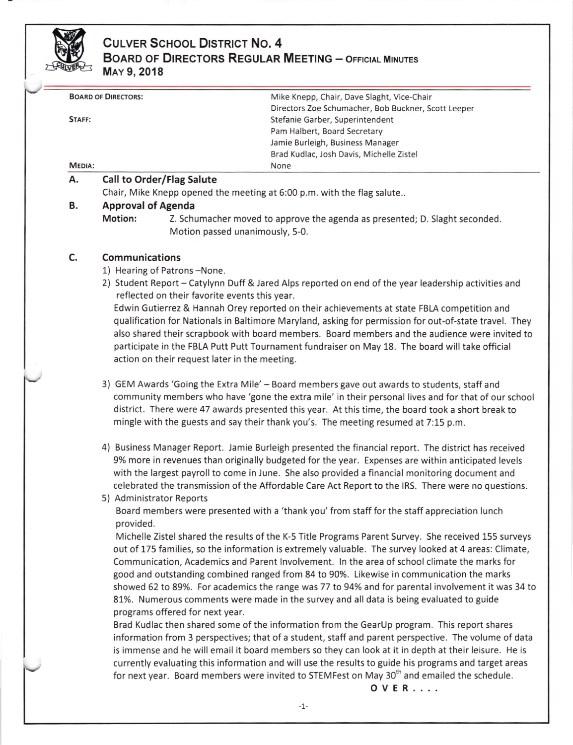

# CULVER SCHOOL DISTRICT NO. 4 BOARD OF DIRECTORS REGULAR MEETING - OFFICIAL MINUTES MAY 9, 2018

| Mike Knepp, Chair, Dave Slaght, Vice-Chair          |
|-----------------------------------------------------|
| Directors Zoe Schumacher, Bob Buckner, Scott Leeper |
| Stefanie Garber, Superintendent                     |
| Pam Halbert, Board Secretary                        |
| Jamie Burleigh, Business Manager                    |
| Brad Kudlac, Josh Davis, Michelle Zistel            |
| None                                                |
|                                                     |

## A. Call to Order/Flag Salute

Chair, Mike Knepp opened the meeting at 6:00 p.m. with the flag salute..

### B. Approval of Agenda

Motion: Z. Schumacher moved to approve the agenda as presented; D. Slaght seconded. Motion passed unanimously, 5-0.

### c Communications

- 1) Hearing of Patrons-None.
- 2) Student Report Catylynn Duff & Jared Alps reported on end of the year leadership activities and reflected on their favorite events this year.

Edwin Gutierrez & Hannah Orey reported on their achievements at state FBLA competition and qualification for Nationals in Baltimore Maryland, asking for permission for out-of-state travel. They also shared their scrapbook with board members. Board members and the audience were invited to participate in the FBLA Putt Putt Tournament fundraiser on May 18. The board will take official action on their request later in the meeting.

- 3) GEM Awards 'Going the Extra Mile' Board members gave out awards to students, staff and community members who have 'gone the extra mile' in their personal lives and for that of our school district. There were 47 awards presented this year. At this time, the board took a short break to mingle with the guests and say their thank you's. The meeting resumed at 7:15 p.m.
- 4) Business Manager Report. Jamie Eurleigh presented the financial report. The district has received 9% more in revenues than originally budgeted for the year. Expenses are within anticipated levels with the largest payroll to come in June. She also provided a financial monitoring document and celebrated the transmission of the Affordable Care Act Report to the lRS. There were noquestions.

# 5) Administrator Reports

Board members were presented with a 'thank you' from staff for the staff appreciation lunch provided.

Michelle Zistel shared the results of the K-5 Title Programs Parent 5urvey. She received 155 surveys out of 175 families, so the information is extremely valuable. The survey looked at 4 areas: Climate, Communication, Academics and Parent lnvolvement. ln the area of school climate the marks for good and outstanding combined ranged from 84 to 9O%. Likewise in communication the marks showed 62 to 89%. For academics the range was 77 to 94% and for parental involvement it was 34 to 81%. Numerous comments were made in the survey and all data is being evaluated to guide programs offered for next year.

Brad Kudlac then shared some of the information from the GearUp program. This report shares information from 3 perspectives; that of a student, staff and parent perspective. The volume of data is immense and he will email it board members so they can look at it in depth at their leisure. He is currently evaluating this information and will use the results to guide his programs and target areas for next year. Board members were invited to STEMFest on May 30<sup>th</sup> and emailed the schedule.

ovER....